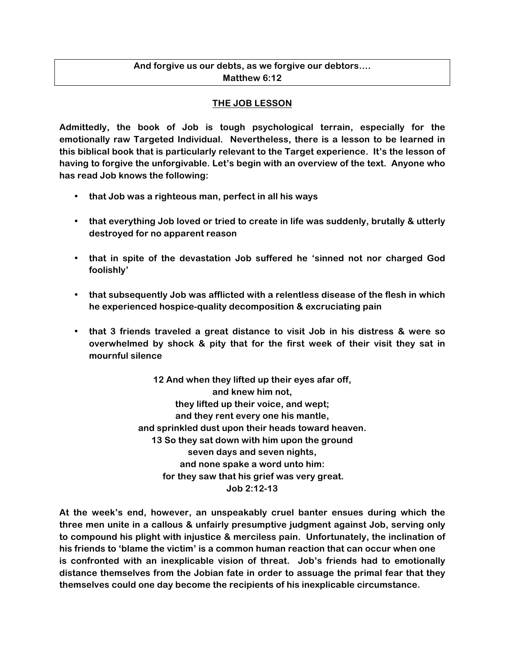# **And forgive us our debts, as we forgive our debtors…. Matthew 6:12**

# **THE JOB LESSON**

**Admittedly, the book of Job is tough psychological terrain, especially for the emotionally raw Targeted Individual. Nevertheless, there is a lesson to be learned in this biblical book that is particularly relevant to the Target experience. It's the lesson of having to forgive the unforgivable. Let's begin with an overview of the text. Anyone who has read Job knows the following:**

- **that Job was a righteous man, perfect in all his ways**
- **that everything Job loved or tried to create in life was suddenly, brutally & utterly destroyed for no apparent reason**
- **that in spite of the devastation Job suffered he 'sinned not nor charged God foolishly'**
- **that subsequently Job was afflicted with a relentless disease of the flesh in which he experienced hospice-quality decomposition & excruciating pain**
- **that 3 friends traveled a great distance to visit Job in his distress & were so overwhelmed by shock & pity that for the first week of their visit they sat in mournful silence**

**12 And when they lifted up their eyes afar off, and knew him not, they lifted up their voice, and wept; and they rent every one his mantle, and sprinkled dust upon their heads toward heaven. 13 So they sat down with him upon the ground seven days and seven nights, and none spake a word unto him: for they saw that his grief was very great. Job 2:12-13**

**At the week's end, however, an unspeakably cruel banter ensues during which the three men unite in a callous & unfairly presumptive judgment against Job, serving only to compound his plight with injustice & merciless pain. Unfortunately, the inclination of his friends to 'blame the victim' is a common human reaction that can occur when one is confronted with an inexplicable vision of threat. Job's friends had to emotionally distance themselves from the Jobian fate in order to assuage the primal fear that they themselves could one day become the recipients of his inexplicable circumstance.**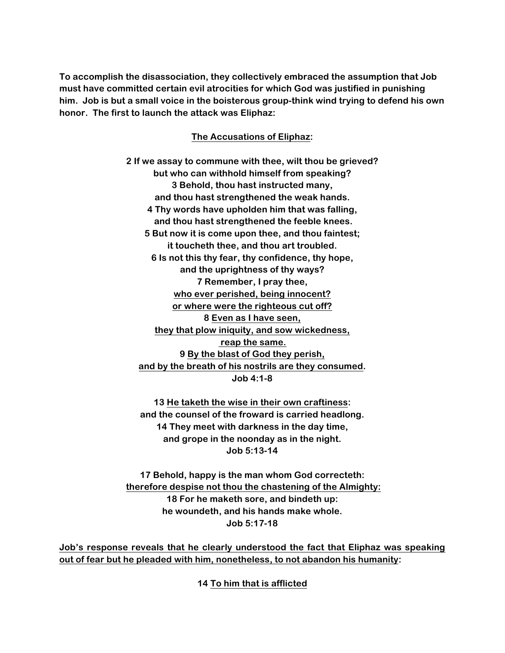**To accomplish the disassociation, they collectively embraced the assumption that Job must have committed certain evil atrocities for which God was justified in punishing him. Job is but a small voice in the boisterous group-think wind trying to defend his own honor. The first to launch the attack was Eliphaz:**

## **The Accusations of Eliphaz:**

**2 If we assay to commune with thee, wilt thou be grieved? but who can withhold himself from speaking? 3 Behold, thou hast instructed many, and thou hast strengthened the weak hands. 4 Thy words have upholden him that was falling, and thou hast strengthened the feeble knees. 5 But now it is come upon thee, and thou faintest; it toucheth thee, and thou art troubled. 6 Is not this thy fear, thy confidence, thy hope, and the uprightness of thy ways? 7 Remember, I pray thee, who ever perished, being innocent? or where were the righteous cut off? 8 Even as I have seen, they that plow iniquity, and sow wickedness, reap the same. 9 By the blast of God they perish, and by the breath of his nostrils are they consumed. Job 4:1-8**

**13 He taketh the wise in their own craftiness: and the counsel of the froward is carried headlong. 14 They meet with darkness in the day time, and grope in the noonday as in the night. Job 5:13-14**

**17 Behold, happy is the man whom God correcteth: therefore despise not thou the chastening of the Almighty: 18 For he maketh sore, and bindeth up: he woundeth, and his hands make whole. Job 5:17-18**

**Job's response reveals that he clearly understood the fact that Eliphaz was speaking out of fear but he pleaded with him, nonetheless, to not abandon his humanity:**

**14 To him that is afflicted**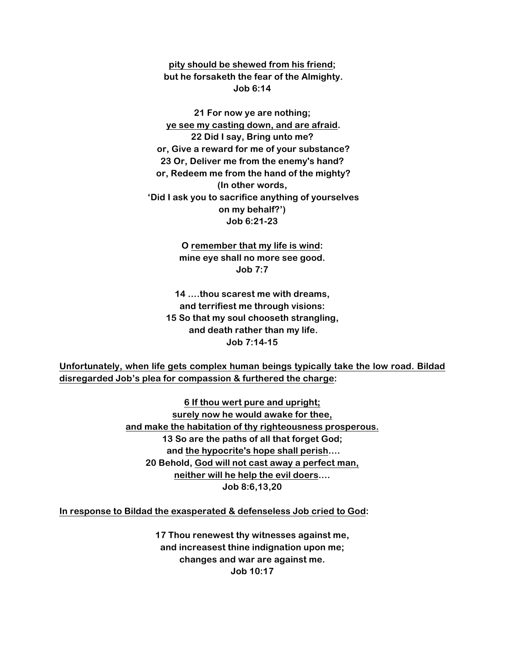**pity should be shewed from his friend; but he forsaketh the fear of the Almighty. Job 6:14**

**21 For now ye are nothing; ye see my casting down, and are afraid. 22 Did I say, Bring unto me? or, Give a reward for me of your substance? 23 Or, Deliver me from the enemy's hand? or, Redeem me from the hand of the mighty? (In other words, 'Did I ask you to sacrifice anything of yourselves on my behalf?') Job 6:21-23**

> **O remember that my life is wind: mine eye shall no more see good. Job 7:7**

**14 ….thou scarest me with dreams, and terrifiest me through visions: 15 So that my soul chooseth strangling, and death rather than my life. Job 7:14-15**

**Unfortunately, when life gets complex human beings typically take the low road. Bildad disregarded Job's plea for compassion & furthered the charge:**

> **6 If thou wert pure and upright; surely now he would awake for thee, and make the habitation of thy righteousness prosperous. 13 So are the paths of all that forget God; and the hypocrite's hope shall perish…. 20 Behold, God will not cast away a perfect man, neither will he help the evil doers.… Job 8:6,13,20**

**In response to Bildad the exasperated & defenseless Job cried to God:**

**17 Thou renewest thy witnesses against me, and increasest thine indignation upon me; changes and war are against me. Job 10:17**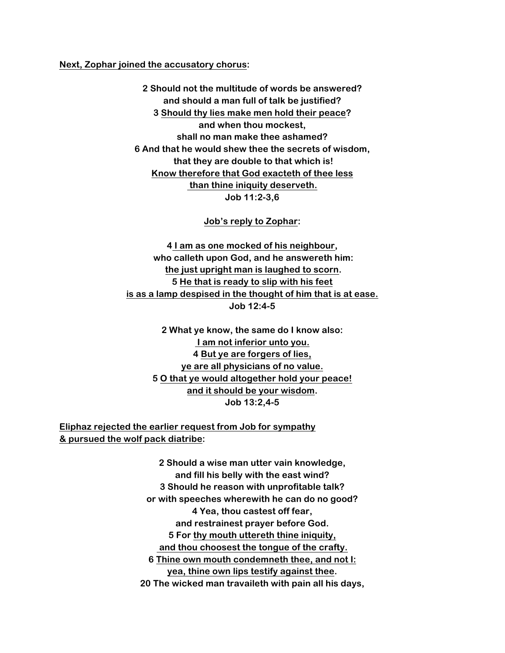**Next, Zophar joined the accusatory chorus:**

**2 Should not the multitude of words be answered? and should a man full of talk be justified? 3 Should thy lies make men hold their peace? and when thou mockest, shall no man make thee ashamed? 6 And that he would shew thee the secrets of wisdom, that they are double to that which is! Know therefore that God exacteth of thee less than thine iniquity deserveth. Job 11:2-3,6**

**Job's reply to Zophar:**

**4 I am as one mocked of his neighbour, who calleth upon God, and he answereth him: the just upright man is laughed to scorn. 5 He that is ready to slip with his feet is as a lamp despised in the thought of him that is at ease. Job 12:4-5**

**2 What ye know, the same do I know also: I am not inferior unto you. 4 But ye are forgers of lies, ye are all physicians of no value. 5 O that ye would altogether hold your peace! and it should be your wisdom. Job 13:2,4-5**

**Eliphaz rejected the earlier request from Job for sympathy & pursued the wolf pack diatribe:**

> **2 Should a wise man utter vain knowledge, and fill his belly with the east wind? 3 Should he reason with unprofitable talk? or with speeches wherewith he can do no good? 4 Yea, thou castest off fear, and restrainest prayer before God. 5 For thy mouth uttereth thine iniquity, and thou choosest the tongue of the crafty. 6 Thine own mouth condemneth thee, and not I: yea, thine own lips testify against thee. 20 The wicked man travaileth with pain all his days,**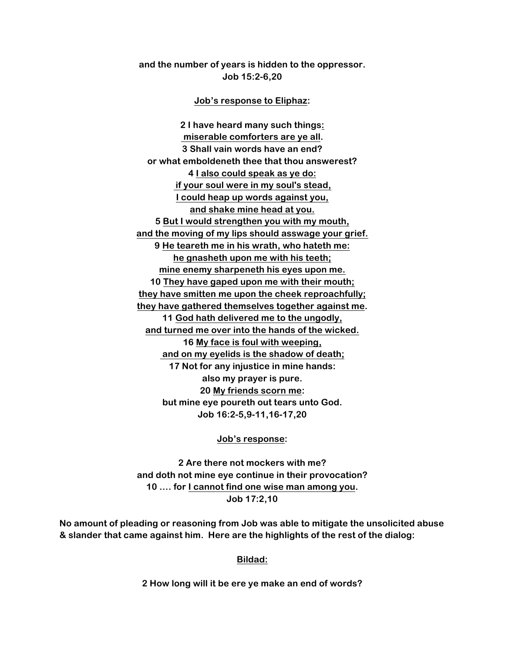**and the number of years is hidden to the oppressor. Job 15:2-6,20**

**Job's response to Eliphaz:**

**2 I have heard many such things: miserable comforters are ye all. 3 Shall vain words have an end? or what emboldeneth thee that thou answerest? 4 I also could speak as ye do: if your soul were in my soul's stead, I could heap up words against you, and shake mine head at you. 5 But I would strengthen you with my mouth, and the moving of my lips should asswage your grief. 9 He teareth me in his wrath, who hateth me: he gnasheth upon me with his teeth; mine enemy sharpeneth his eyes upon me. 10 They have gaped upon me with their mouth; they have smitten me upon the cheek reproachfully; they have gathered themselves together against me. 11 God hath delivered me to the ungodly, and turned me over into the hands of the wicked. 16 My face is foul with weeping, and on my eyelids is the shadow of death; 17 Not for any injustice in mine hands: also my prayer is pure. 20 My friends scorn me: but mine eye poureth out tears unto God. Job 16:2-5,9-11,16-17,20**

**Job's response:**

**2 Are there not mockers with me? and doth not mine eye continue in their provocation? 10 …. for I cannot find one wise man among you. Job 17:2,10**

**No amount of pleading or reasoning from Job was able to mitigate the unsolicited abuse & slander that came against him. Here are the highlights of the rest of the dialog:**

**Bildad:**

**2 How long will it be ere ye make an end of words?**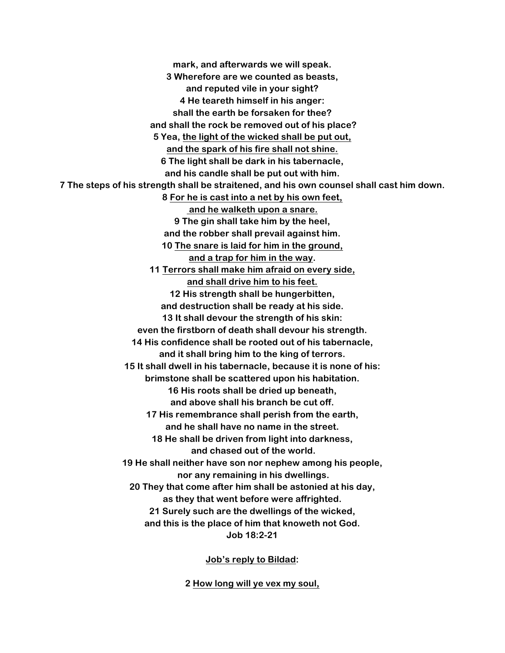**mark, and afterwards we will speak. 3 Wherefore are we counted as beasts, and reputed vile in your sight? 4 He teareth himself in his anger: shall the earth be forsaken for thee? and shall the rock be removed out of his place? 5 Yea, the light of the wicked shall be put out, and the spark of his fire shall not shine. 6 The light shall be dark in his tabernacle, and his candle shall be put out with him. 7 The steps of his strength shall be straitened, and his own counsel shall cast him down. 8 For he is cast into a net by his own feet, and he walketh upon a snare. 9 The gin shall take him by the heel, and the robber shall prevail against him. 10 The snare is laid for him in the ground, and a trap for him in the way. 11 Terrors shall make him afraid on every side, and shall drive him to his feet. 12 His strength shall be hungerbitten, and destruction shall be ready at his side. 13 It shall devour the strength of his skin: even the firstborn of death shall devour his strength. 14 His confidence shall be rooted out of his tabernacle, and it shall bring him to the king of terrors. 15 It shall dwell in his tabernacle, because it is none of his: brimstone shall be scattered upon his habitation. 16 His roots shall be dried up beneath, and above shall his branch be cut off. 17 His remembrance shall perish from the earth, and he shall have no name in the street. 18 He shall be driven from light into darkness, and chased out of the world. 19 He shall neither have son nor nephew among his people, nor any remaining in his dwellings. 20 They that come after him shall be astonied at his day, as they that went before were affrighted. 21 Surely such are the dwellings of the wicked, and this is the place of him that knoweth not God. Job 18:2-21**

**Job's reply to Bildad:**

**2 How long will ye vex my soul,**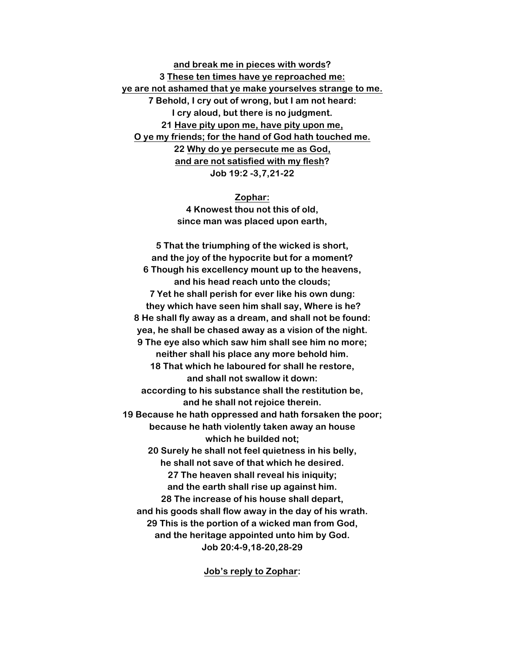**and break me in pieces with words? 3 These ten times have ye reproached me: ye are not ashamed that ye make yourselves strange to me. 7 Behold, I cry out of wrong, but I am not heard: I cry aloud, but there is no judgment. 21 Have pity upon me, have pity upon me, O ye my friends; for the hand of God hath touched me. 22 Why do ye persecute me as God, and are not satisfied with my flesh? Job 19:2 -3,7,21-22**

#### **Zophar:**

**4 Knowest thou not this of old, since man was placed upon earth,**

**5 That the triumphing of the wicked is short, and the joy of the hypocrite but for a moment? 6 Though his excellency mount up to the heavens, and his head reach unto the clouds; 7 Yet he shall perish for ever like his own dung: they which have seen him shall say, Where is he? 8 He shall fly away as a dream, and shall not be found: yea, he shall be chased away as a vision of the night. 9 The eye also which saw him shall see him no more; neither shall his place any more behold him. 18 That which he laboured for shall he restore, and shall not swallow it down: according to his substance shall the restitution be, and he shall not rejoice therein. 19 Because he hath oppressed and hath forsaken the poor; because he hath violently taken away an house which he builded not; 20 Surely he shall not feel quietness in his belly, he shall not save of that which he desired. 27 The heaven shall reveal his iniquity; and the earth shall rise up against him. 28 The increase of his house shall depart, and his goods shall flow away in the day of his wrath. 29 This is the portion of a wicked man from God, and the heritage appointed unto him by God. Job 20:4-9,18-20,28-29**

**Job's reply to Zophar:**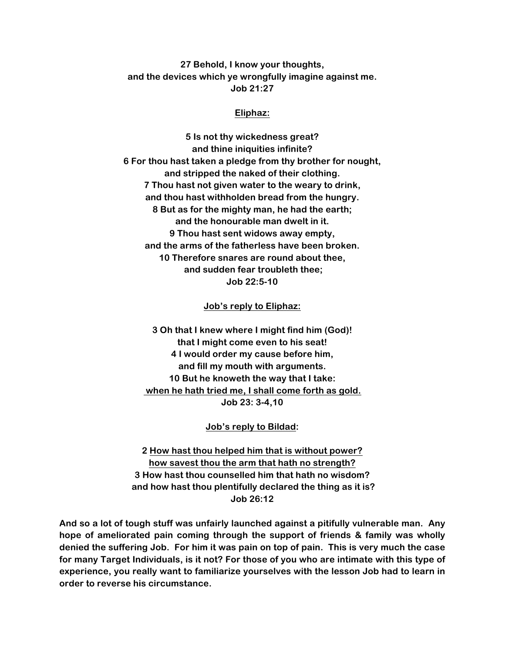**27 Behold, I know your thoughts, and the devices which ye wrongfully imagine against me. Job 21:27**

### **Eliphaz:**

**5 Is not thy wickedness great? and thine iniquities infinite? 6 For thou hast taken a pledge from thy brother for nought, and stripped the naked of their clothing. 7 Thou hast not given water to the weary to drink, and thou hast withholden bread from the hungry. 8 But as for the mighty man, he had the earth; and the honourable man dwelt in it. 9 Thou hast sent widows away empty, and the arms of the fatherless have been broken. 10 Therefore snares are round about thee, and sudden fear troubleth thee; Job 22:5-10**

### **Job's reply to Eliphaz:**

**3 Oh that I knew where I might find him (God)! that I might come even to his seat! 4 I would order my cause before him, and fill my mouth with arguments. 10 But he knoweth the way that I take: when he hath tried me, I shall come forth as gold. Job 23: 3-4,10**

#### **Job's reply to Bildad:**

**2 How hast thou helped him that is without power? how savest thou the arm that hath no strength? 3 How hast thou counselled him that hath no wisdom? and how hast thou plentifully declared the thing as it is? Job 26:12**

**And so a lot of tough stuff was unfairly launched against a pitifully vulnerable man. Any hope of ameliorated pain coming through the support of friends & family was wholly denied the suffering Job. For him it was pain on top of pain. This is very much the case for many Target Individuals, is it not? For those of you who are intimate with this type of experience, you really want to familiarize yourselves with the lesson Job had to learn in order to reverse his circumstance.**